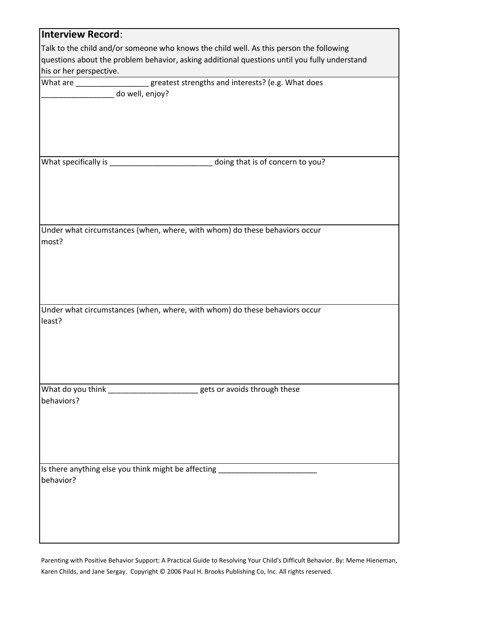| <b>Interview Record:</b>                                                                |                                                                                              |
|-----------------------------------------------------------------------------------------|----------------------------------------------------------------------------------------------|
| Talk to the child and/or someone who knows the child well. As this person the following |                                                                                              |
|                                                                                         | questions about the problem behavior, asking additional questions until you fully understand |
| his or her perspective.                                                                 |                                                                                              |
| What are ____________________greatest strengths and interests? (e.g. What does          |                                                                                              |
| do well, enjoy?                                                                         |                                                                                              |
|                                                                                         |                                                                                              |
|                                                                                         |                                                                                              |
|                                                                                         |                                                                                              |
|                                                                                         |                                                                                              |
|                                                                                         |                                                                                              |
|                                                                                         | doing that is of concern to you?                                                             |
|                                                                                         |                                                                                              |
|                                                                                         |                                                                                              |
|                                                                                         |                                                                                              |
|                                                                                         |                                                                                              |
|                                                                                         |                                                                                              |
| Under what circumstances (when, where, with whom) do these behaviors occur              |                                                                                              |
| most?                                                                                   |                                                                                              |
|                                                                                         |                                                                                              |
|                                                                                         |                                                                                              |
|                                                                                         |                                                                                              |
|                                                                                         |                                                                                              |
|                                                                                         |                                                                                              |
| Under what circumstances (when, where, with whom) do these behaviors occur              |                                                                                              |
| least?                                                                                  |                                                                                              |
|                                                                                         |                                                                                              |
|                                                                                         |                                                                                              |
|                                                                                         |                                                                                              |
|                                                                                         |                                                                                              |
|                                                                                         |                                                                                              |
|                                                                                         | gets or avoids through these                                                                 |
| behaviors?                                                                              |                                                                                              |
|                                                                                         |                                                                                              |
|                                                                                         |                                                                                              |
|                                                                                         |                                                                                              |
|                                                                                         |                                                                                              |
|                                                                                         |                                                                                              |
| Is there anything else you think might be affecting ____________________________        |                                                                                              |
| behavior?                                                                               |                                                                                              |
|                                                                                         |                                                                                              |
|                                                                                         |                                                                                              |
|                                                                                         |                                                                                              |
|                                                                                         |                                                                                              |
|                                                                                         |                                                                                              |

Parenting with Positive Behavior Support: A Practical Guide to Resolving Your Child's Difficult Behavior. By: Meme Hieneman, Karen Childs, and Jane Sergay. Copyright © 2006 Paul H. Brooks Publishing Co, Inc. All rights reserved.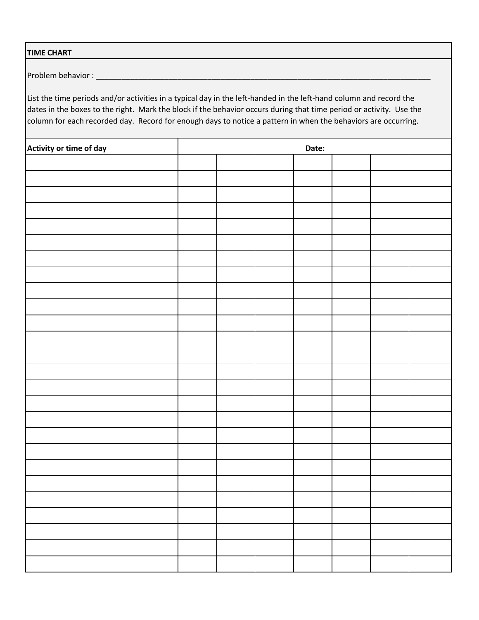## **TIME CHART**

Problem behavior :

List the time periods and/or activities in a typical day in the left-handed in the left-hand column and record the dates in the boxes to the right. Mark the block if the behavior occurs during that time period or activity. Use the column for each recorded day. Record for enough days to notice a pattern in when the behaviors are occurring.

| Activity or time of day | Date: |  |  |  |  |  |
|-------------------------|-------|--|--|--|--|--|
|                         |       |  |  |  |  |  |
|                         |       |  |  |  |  |  |
|                         |       |  |  |  |  |  |
|                         |       |  |  |  |  |  |
|                         |       |  |  |  |  |  |
|                         |       |  |  |  |  |  |
|                         |       |  |  |  |  |  |
|                         |       |  |  |  |  |  |
|                         |       |  |  |  |  |  |
|                         |       |  |  |  |  |  |
|                         |       |  |  |  |  |  |
|                         |       |  |  |  |  |  |
|                         |       |  |  |  |  |  |
|                         |       |  |  |  |  |  |
|                         |       |  |  |  |  |  |
|                         |       |  |  |  |  |  |
|                         |       |  |  |  |  |  |
|                         |       |  |  |  |  |  |
|                         |       |  |  |  |  |  |
|                         |       |  |  |  |  |  |
|                         |       |  |  |  |  |  |
|                         |       |  |  |  |  |  |
|                         |       |  |  |  |  |  |
|                         |       |  |  |  |  |  |
|                         |       |  |  |  |  |  |
|                         |       |  |  |  |  |  |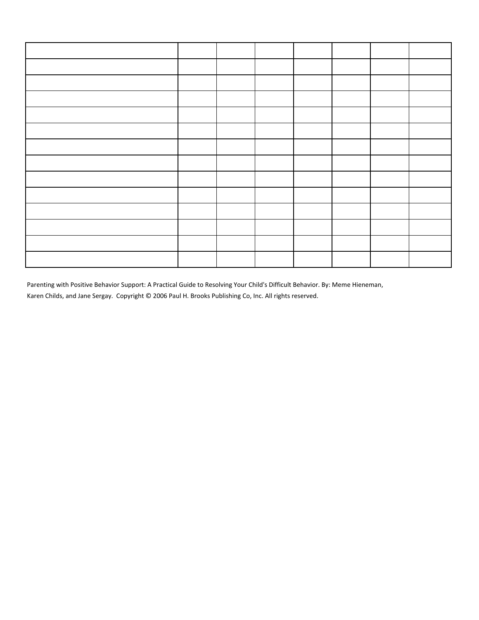Parenting with Positive Behavior Support: A Practical Guide to Resolving Your Child's Difficult Behavior. By: Meme Hieneman, Karen Childs, and Jane Sergay. Copyright © 2006 Paul H. Brooks Publishing Co, Inc. All rights reserved.